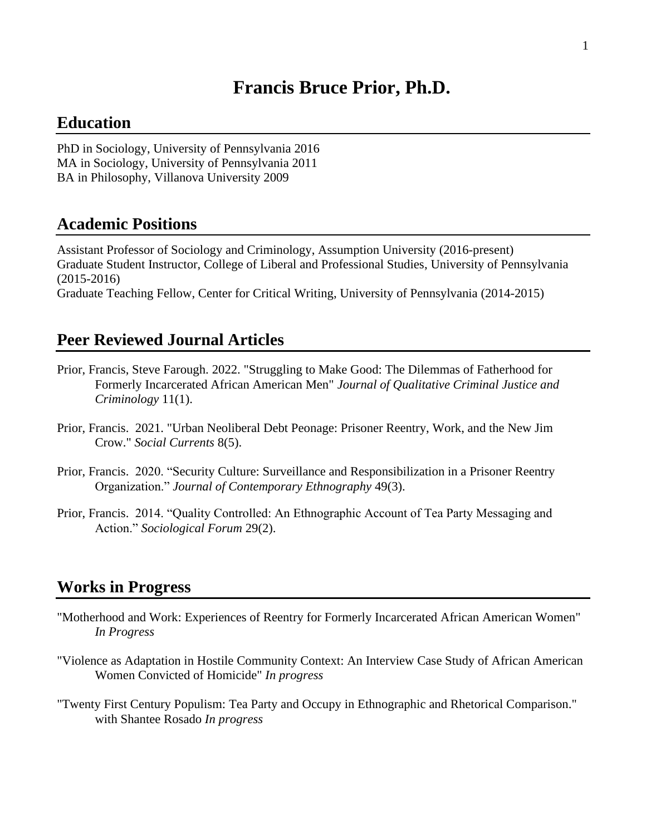# **Francis Bruce Prior, Ph.D.**

# **Education**

PhD in Sociology, University of Pennsylvania 2016 MA in Sociology, University of Pennsylvania 2011 BA in Philosophy, Villanova University 2009

#### **Academic Positions**

Assistant Professor of Sociology and Criminology, Assumption University (2016-present) Graduate Student Instructor, College of Liberal and Professional Studies, University of Pennsylvania (2015-2016) Graduate Teaching Fellow, Center for Critical Writing, University of Pennsylvania (2014-2015)

### **Peer Reviewed Journal Articles**

- Prior, Francis, Steve Farough. 2022. "Struggling to Make Good: The Dilemmas of Fatherhood for Formerly Incarcerated African American Men" *Journal of Qualitative Criminal Justice and Criminology* 11(1).
- Prior, Francis. 2021. "Urban Neoliberal Debt Peonage: Prisoner Reentry, Work, and the New Jim Crow." *Social Currents* 8(5).
- Prior, Francis. 2020. "Security Culture: Surveillance and Responsibilization in a Prisoner Reentry Organization." *Journal of Contemporary Ethnography* 49(3).
- Prior, Francis. 2014. "Quality Controlled: An Ethnographic Account of Tea Party Messaging and Action." *Sociological Forum* 29(2).

# **Works in Progress**

- "Motherhood and Work: Experiences of Reentry for Formerly Incarcerated African American Women" *In Progress*
- "Violence as Adaptation in Hostile Community Context: An Interview Case Study of African American Women Convicted of Homicide" *In progress*
- "Twenty First Century Populism: Tea Party and Occupy in Ethnographic and Rhetorical Comparison." with Shantee Rosado *In progress*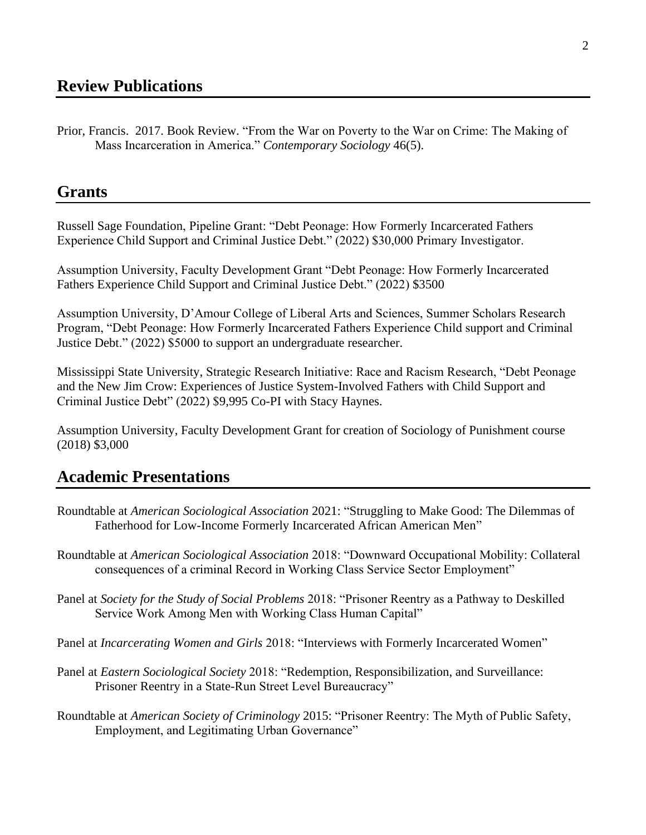Prior, Francis. 2017. Book Review. "From the War on Poverty to the War on Crime: The Making of Mass Incarceration in America." *Contemporary Sociology* 46(5).

### **Grants**

Russell Sage Foundation, Pipeline Grant: "Debt Peonage: How Formerly Incarcerated Fathers Experience Child Support and Criminal Justice Debt." (2022) \$30,000 Primary Investigator.

Assumption University, Faculty Development Grant "Debt Peonage: How Formerly Incarcerated Fathers Experience Child Support and Criminal Justice Debt." (2022) \$3500

Assumption University, D'Amour College of Liberal Arts and Sciences, Summer Scholars Research Program, "Debt Peonage: How Formerly Incarcerated Fathers Experience Child support and Criminal Justice Debt." (2022) \$5000 to support an undergraduate researcher.

Mississippi State University, Strategic Research Initiative: Race and Racism Research, "Debt Peonage and the New Jim Crow: Experiences of Justice System-Involved Fathers with Child Support and Criminal Justice Debt" (2022) \$9,995 Co-PI with Stacy Haynes.

Assumption University, Faculty Development Grant for creation of Sociology of Punishment course (2018) \$3,000

## **Academic Presentations**

- Roundtable at *American Sociological Association* 2021: "Struggling to Make Good: The Dilemmas of Fatherhood for Low-Income Formerly Incarcerated African American Men"
- Roundtable at *American Sociological Association* 2018: "Downward Occupational Mobility: Collateral consequences of a criminal Record in Working Class Service Sector Employment"
- Panel at *Society for the Study of Social Problems* 2018: "Prisoner Reentry as a Pathway to Deskilled Service Work Among Men with Working Class Human Capital"

Panel at *Incarcerating Women and Girls* 2018: "Interviews with Formerly Incarcerated Women"

- Panel at *Eastern Sociological Society* 2018: "Redemption, Responsibilization, and Surveillance: Prisoner Reentry in a State-Run Street Level Bureaucracy"
- Roundtable at *American Society of Criminology* 2015: "Prisoner Reentry: The Myth of Public Safety, Employment, and Legitimating Urban Governance"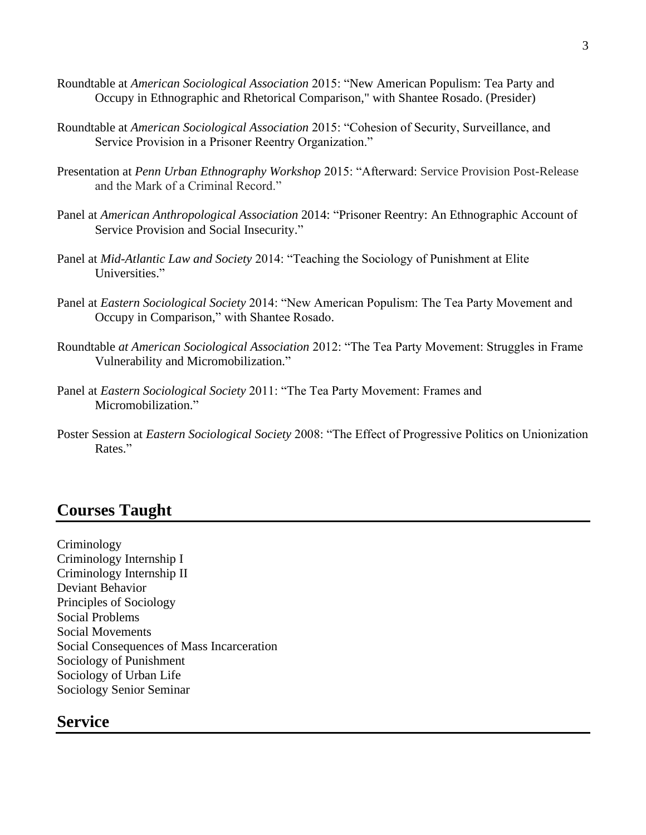- Roundtable at *American Sociological Association* 2015: "New American Populism: Tea Party and Occupy in Ethnographic and Rhetorical Comparison," with Shantee Rosado. (Presider)
- Roundtable at *American Sociological Association* 2015: "Cohesion of Security, Surveillance, and Service Provision in a Prisoner Reentry Organization."
- Presentation at *Penn Urban Ethnography Workshop* 2015: "Afterward: Service Provision Post-Release and the Mark of a Criminal Record."
- Panel at *American Anthropological Association* 2014: "Prisoner Reentry: An Ethnographic Account of Service Provision and Social Insecurity."
- Panel at *Mid-Atlantic Law and Society* 2014: "Teaching the Sociology of Punishment at Elite Universities."
- Panel at *Eastern Sociological Society* 2014: "New American Populism: The Tea Party Movement and Occupy in Comparison," with Shantee Rosado.
- Roundtable *at American Sociological Association* 2012: "The Tea Party Movement: Struggles in Frame Vulnerability and Micromobilization."
- Panel at *Eastern Sociological Society* 2011: "The Tea Party Movement: Frames and Micromobilization."
- Poster Session at *Eastern Sociological Society* 2008: "The Effect of Progressive Politics on Unionization Rates."

### **Courses Taught**

Criminology Criminology Internship I Criminology Internship II Deviant Behavior Principles of Sociology Social Problems Social Movements Social Consequences of Mass Incarceration Sociology of Punishment Sociology of Urban Life Sociology Senior Seminar

### **Service**